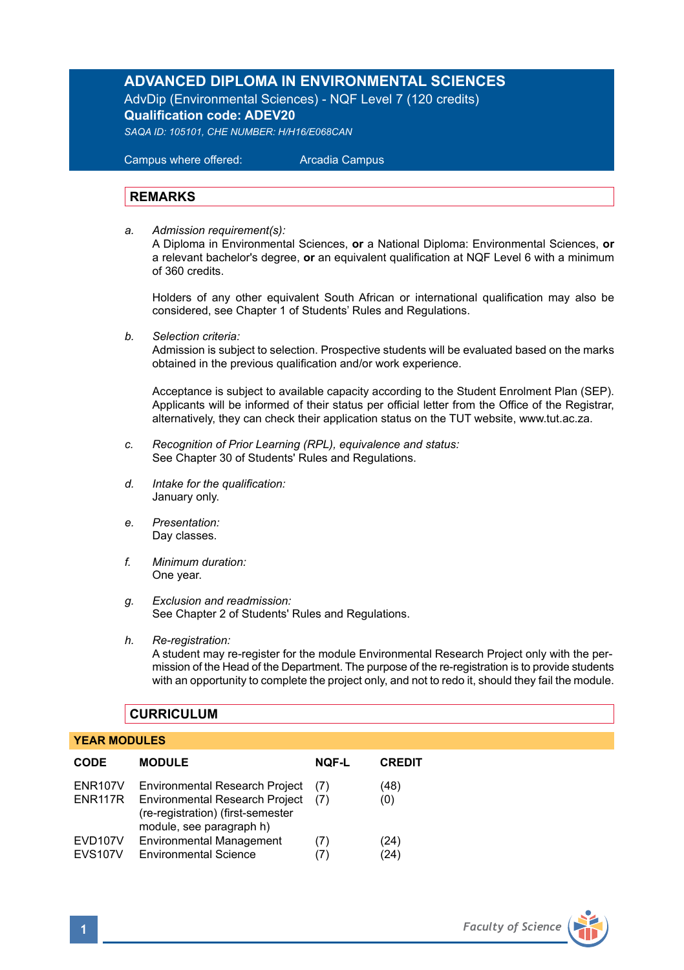# **ADVANCED DIPLOMA IN ENVIRONMENTAL SCIENCES**

AdvDip (Environmental Sciences) - NQF Level 7 (120 credits) **Qualification code: ADEV20**

*SAQA ID: 105101, CHE NUMBER: H/H16/E068CAN* 

 Campus where offered: Arcadia Campus

## **REMARKS**

*a. Admission requirement(s):*  A Diploma in Environmental Sciences, **or** a National Diploma: Environmental Sciences, **or** a relevant bachelor's degree, **or** an equivalent qualification at NQF Level 6 with a minimum of 360 credits.

Holders of any other equivalent South African or international qualification may also be considered, see Chapter 1 of Students' Rules and Regulations.

*b. Selection criteria:*

Admission is subject to selection. Prospective students will be evaluated based on the marks obtained in the previous qualification and/or work experience.

Acceptance is subject to available capacity according to the Student Enrolment Plan (SEP). Applicants will be informed of their status per official letter from the Office of the Registrar, alternatively, they can check their application status on the TUT website, www.tut.ac.za.

- *c. Recognition of Prior Learning (RPL), equivalence and status:* See Chapter 30 of Students' Rules and Regulations.
- *d. Intake for the qualification:* January only.
- *e. Presentation:* Day classes.
- *f. Minimum duration:* One year.
- *g. Exclusion and readmission:* See Chapter 2 of Students' Rules and Regulations.
- *h. Re-registration:*

A student may re-register for the module Environmental Research Project only with the permission of the Head of the Department. The purpose of the re-registration is to provide students with an opportunity to complete the project only, and not to redo it, should they fail the module.

## **CURRICULUM**

### **YEAR MODULES**

| <b>CODE</b>                            | <b>MODULE</b>                                                                                                                                   | <b>NOF-L</b> | <b>CREDIT</b> |
|----------------------------------------|-------------------------------------------------------------------------------------------------------------------------------------------------|--------------|---------------|
| <b>ENR107V</b><br>ENR117R              | <b>Environmental Research Project</b><br><b>Environmental Research Project</b><br>(re-registration) (first-semester<br>module, see paragraph h) | (7)<br>(7)   | (48)<br>(0)   |
| EVD <sub>107</sub> V<br><b>EVS107V</b> | <b>Environmental Management</b><br><b>Environmental Science</b>                                                                                 | (7)          | (24)<br>(24)  |